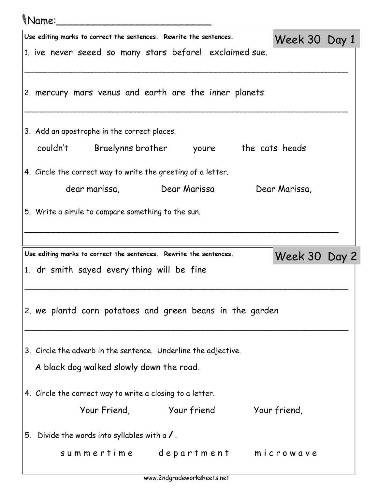|    | <i>Name:</i>                                                                                                     |               |               |  |  |
|----|------------------------------------------------------------------------------------------------------------------|---------------|---------------|--|--|
|    | Use editing marks to correct the sentences. Rewrite the sentences.                                               | Week 30 Day 1 |               |  |  |
|    | 1. ive never seeed so many stars before! exclaimed sue.                                                          |               |               |  |  |
|    | 2. mercury mars venus and earth are the inner planets                                                            |               |               |  |  |
|    | 3. Add an apostrophe in the correct places.                                                                      |               |               |  |  |
|    | couldn't Braelynns brother youre the cats heads                                                                  |               |               |  |  |
|    | 4. Circle the correct way to write the greeting of a letter.                                                     |               |               |  |  |
|    | Dear Marissa,                                                                                                    |               |               |  |  |
|    | 5. Write a simile to compare something to the sun.                                                               |               |               |  |  |
|    |                                                                                                                  |               |               |  |  |
|    |                                                                                                                  |               |               |  |  |
|    | Use editing marks to correct the sentences. Rewrite the sentences.<br>1. dr smith sayed every thing will be fine |               | Week 30 Day 2 |  |  |
|    | 2. we plantd corn potatoes and green beans in the garden                                                         |               |               |  |  |
|    | 3. Circle the adverb in the sentence. Underline the adjective.                                                   |               |               |  |  |
|    | A black dog walked slowly down the road.                                                                         |               |               |  |  |
|    | 4. Circle the correct way to write a closing to a letter.                                                        |               |               |  |  |
|    | Your Friend, Your friend Your friend,                                                                            |               |               |  |  |
| 5. | Divide the words into syllables with a $\prime$ .                                                                |               |               |  |  |

www.2ndgradeworksheets.net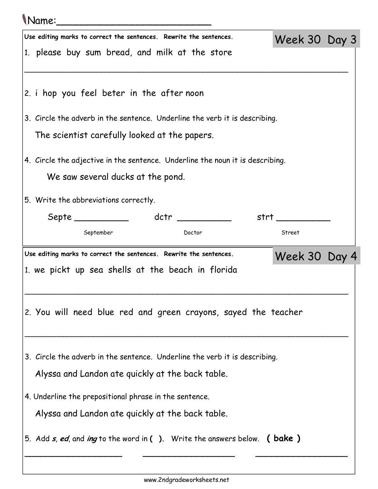## Name:\_\_\_\_\_\_\_\_\_\_\_\_\_\_\_\_\_\_\_\_\_\_\_\_\_

| Use editing marks to correct the sentences. Rewrite the sentences.                        | Week 30 Day 3    |  |
|-------------------------------------------------------------------------------------------|------------------|--|
| 1. please buy sum bread, and milk at the store                                            |                  |  |
|                                                                                           |                  |  |
|                                                                                           |                  |  |
| 2. i hop you feel beter in the after noon                                                 |                  |  |
| 3. Circle the adverb in the sentence. Underline the verb it is describing.                |                  |  |
| The scientist carefully looked at the papers.                                             |                  |  |
|                                                                                           |                  |  |
| 4. Circle the adjective in the sentence. Underline the noun it is describing.             |                  |  |
| We saw several ducks at the pond.                                                         |                  |  |
| 5. Write the abbreviations correctly.                                                     |                  |  |
|                                                                                           | strt ___________ |  |
| September<br>Doctor                                                                       | Street           |  |
|                                                                                           |                  |  |
|                                                                                           |                  |  |
| Use editing marks to correct the sentences. Rewrite the sentences.                        | Week 30 Day 4    |  |
| 1. we pickt up sea shells at the beach in florida                                         |                  |  |
|                                                                                           |                  |  |
|                                                                                           |                  |  |
| 2. You will need blue red and green crayons, sayed the teacher                            |                  |  |
|                                                                                           |                  |  |
| 3. Circle the adverb in the sentence. Underline the verb it is describing.                |                  |  |
| Alyssa and Landon ate quickly at the back table.                                          |                  |  |
|                                                                                           |                  |  |
| 4. Underline the prepositional phrase in the sentence.                                    |                  |  |
| Alyssa and Landon ate quickly at the back table.                                          |                  |  |
| 5. Add <i>s, ed,</i> and <i>ing</i> to the word in ( ). Write the answers below. ( bake ) |                  |  |
|                                                                                           |                  |  |